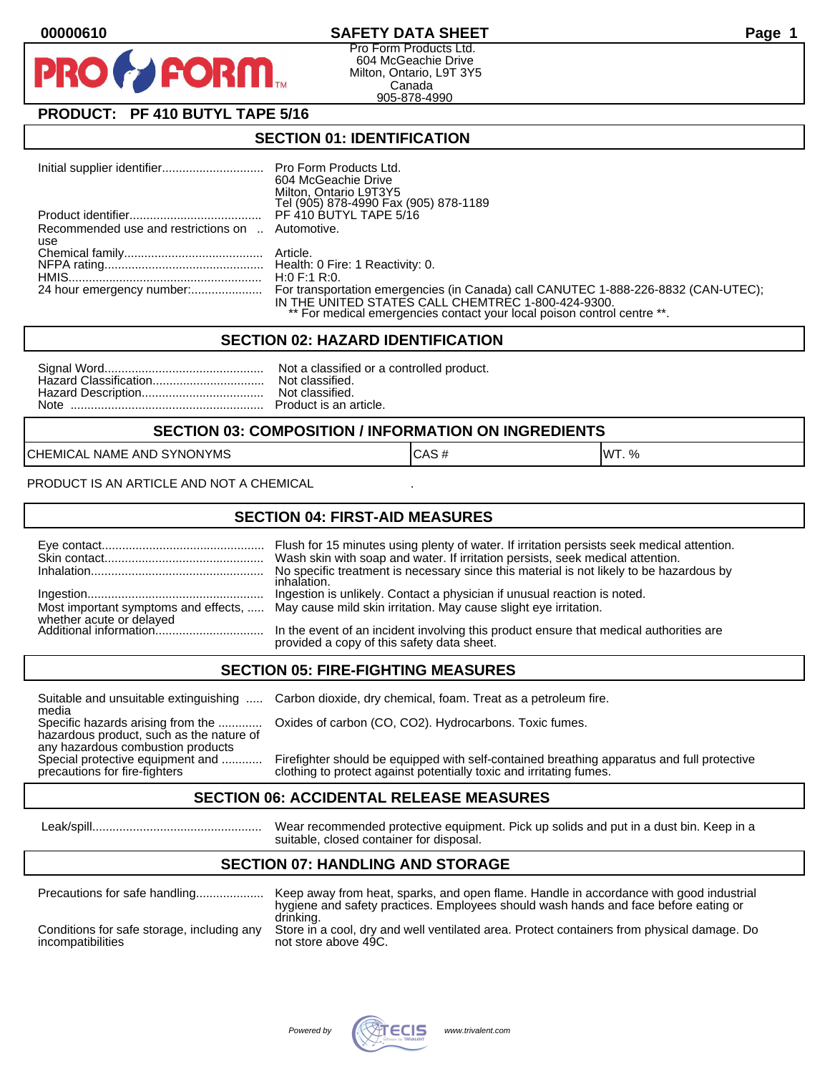# **00000610 SAFETY DATA SHEET Page 1**

Pro Form Products Ltd. 604 McGeachie Drive Milton, Ontario, L9T 3Y5 Canada 905-878-4990

# **PRODUCT: PF 410 BUTYL TAPE 5/16**

**FORM** 

#### **SECTION 01: IDENTIFICATION**

|                                                  | 604 McGeachie Drive                                                     |
|--------------------------------------------------|-------------------------------------------------------------------------|
|                                                  | Milton, Ontario L9T3Y5                                                  |
|                                                  | Tel (905) 878-4990 Fax (905) 878-1189                                   |
|                                                  | PF 410 BUTYL TAPE 5/16                                                  |
| Recommended use and restrictions on  Automotive. |                                                                         |
| use                                              |                                                                         |
|                                                  |                                                                         |
|                                                  |                                                                         |
|                                                  | H:0 F:1 R:0.                                                            |
|                                                  |                                                                         |
|                                                  | IN THE UNITED STATES CALL CHEMTREC 1-800-424-9300.                      |
|                                                  | ** For medical emergencies contact your local poison control centre **. |

#### **SECTION 02: HAZARD IDENTIFICATION**

#### **SECTION 03: COMPOSITION / INFORMATION ON INGREDIENTS**

CHEMICAL NAME AND SYNONYMS CASE CAS # CAS # WT. %

PRODUCT IS AN ARTICLE AND NOT A CHEMICAL

## **SECTION 04: FIRST-AID MEASURES**

|                                                    | Wash skin with soap and water. If irritation persists, seek medical attention.<br>No specific treatment is necessary since this material is not likely to be hazardous by<br>inhalation. |
|----------------------------------------------------|------------------------------------------------------------------------------------------------------------------------------------------------------------------------------------------|
|                                                    | Ingestion is unlikely. Contact a physician if unusual reaction is noted.<br>Most important symptoms and effects,  May cause mild skin irritation. May cause slight eye irritation.       |
| whether acute or delayed<br>Additional information | In the event of an incident involving this product ensure that medical authorities are<br>provided a copy of this safety data sheet.                                                     |

## **SECTION 05: FIRE-FIGHTING MEASURES**

media<br>Specific hazards arising from the .............

hazardous product, such as the nature of any hazardous combustion products<br>Special protective equipment and ............

Suitable and unsuitable extinguishing ..... Carbon dioxide, dry chemical, foam. Treat as a petroleum fire.

Oxides of carbon (CO, CO2). Hydrocarbons. Toxic fumes.

Firefighter should be equipped with self-contained breathing apparatus and full protective precautions for fire-fighters clothing to protect against potentially toxic and irritating fumes.

## **SECTION 06: ACCIDENTAL RELEASE MEASURES**

 Leak/spill.................................................. Wear recommended protective equipment. Pick up solids and put in a dust bin. Keep in a suitable, closed container for disposal.

# **SECTION 07: HANDLING AND STORAGE**

| Precautions for safe handling                                   | Keep away from heat, sparks, and open flame. Handle in accordance with good industrial<br>hygiene and safety practices. Employees should wash hands and face before eating or |
|-----------------------------------------------------------------|-------------------------------------------------------------------------------------------------------------------------------------------------------------------------------|
| Conditions for safe storage, including any<br>incompatibilities | drinking.<br>Store in a cool, dry and well ventilated area. Protect containers from physical damage. Do<br>not store above 49C.                                               |

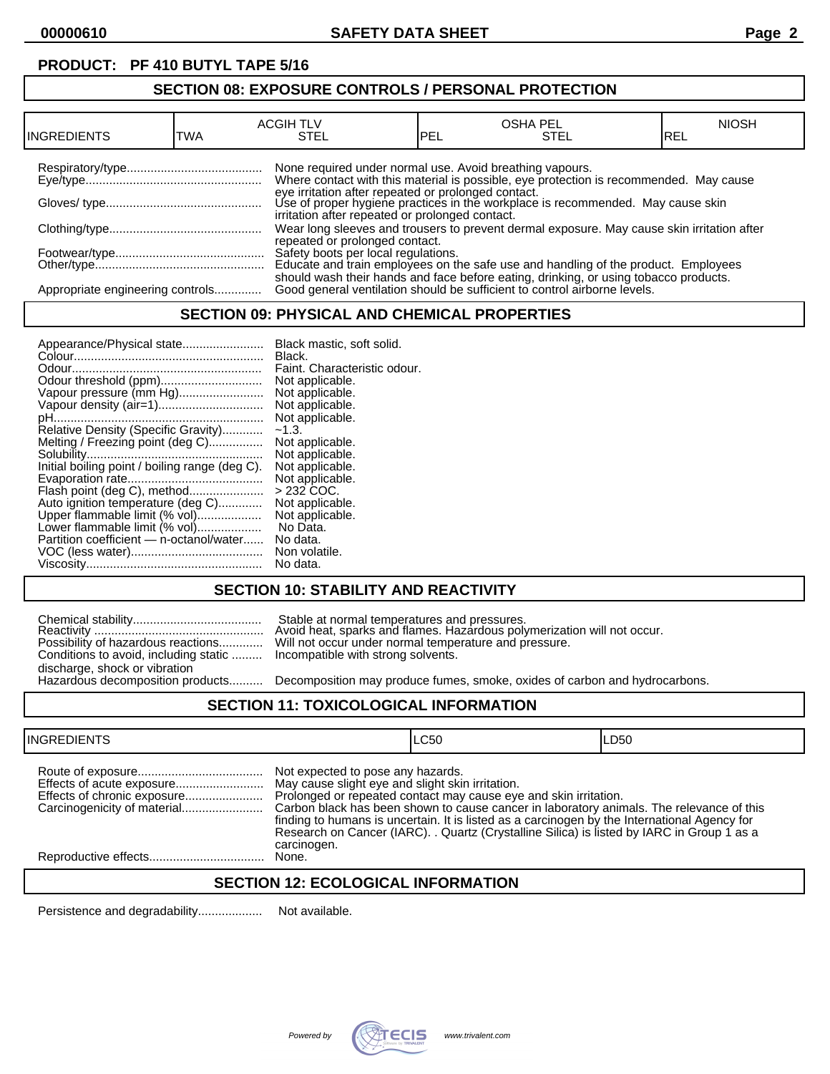# **PRODUCT: PF 410 BUTYL TAPE 5/16**

# **SECTION 08: EXPOSURE CONTROLS / PERSONAL PROTECTION**

| IINGREDIENTS                     | TWA | <b>ACGIH TLV</b><br>STEL                                 | PEL | <b>OSHA PEL</b><br>STEL                                                                                                                                           | <b>NIOSH</b><br>IREL |
|----------------------------------|-----|----------------------------------------------------------|-----|-------------------------------------------------------------------------------------------------------------------------------------------------------------------|----------------------|
|                                  |     | None required under normal use. Avoid breathing vapours. |     | Where contact with this material is possible, eye protection is recommended. May cause                                                                            |                      |
|                                  |     | irritation after repeated or prolonged contact.          |     | eye irritation after repeated or prolonged contact.<br>Use of proper hygiene practices in the workplace is recommended. May cause skin                            |                      |
|                                  |     | repeated or prolonged contact.                           |     | Wear long sleeves and trousers to prevent dermal exposure. May cause skin irritation after                                                                        |                      |
|                                  |     |                                                          |     | Safety boots per local regulations.<br>Educate and train employees on the safe use and handling of the product. Employees                                         |                      |
| Appropriate engineering controls |     |                                                          |     | should wash their hands and face before eating, drinking, or using tobacco products.<br>Good general ventilation should be sufficient to control airborne levels. |                      |

## **SECTION 09: PHYSICAL AND CHEMICAL PROPERTIES**

| Appearance/Physical state                      | Black mastic, soft solid.    |
|------------------------------------------------|------------------------------|
|                                                | Black.                       |
|                                                | Faint. Characteristic odour. |
|                                                | Not applicable.              |
| Vapour pressure (mm Hg)                        | Not applicable.              |
| Vapour density (air=1)                         | Not applicable.              |
|                                                | Not applicable.              |
| Relative Density (Specific Gravity)            | $-1.3.$                      |
| Melting / Freezing point (deg C)               | Not applicable.              |
|                                                | Not applicable.              |
| Initial boiling point / boiling range (deg C). | Not applicable.              |
|                                                | Not applicable.              |
| Flash point (deg C), method                    | $>232$ COC.                  |
| Auto ignition temperature (deg C)              | Not applicable.              |
| Upper flammable limit (% vol)                  | Not applicable.              |
| Lower flammable limit (% vol)                  | No Data.                     |
| Partition coefficient - n-octanol/water        | No data.                     |
|                                                | Non volatile.                |
|                                                | No data.                     |

# **SECTION 10: STABILITY AND REACTIVITY**

|                                                                           | Stable at normal temperatures and pressures.<br>Avoid heat, sparks and flames. Hazardous poly |
|---------------------------------------------------------------------------|-----------------------------------------------------------------------------------------------|
|                                                                           | Possibility of hazardous reactions Will not occur under normal temperature and pr             |
| Conditions to avoid, including static  Incompatible with strong solvents. |                                                                                               |
| discharge, shock or vibration                                             |                                                                                               |
|                                                                           | Hazardous decomposition products Decomposition may produce fumes. smoke. oxi                  |

Reactivity .................................................. Avoid heat, sparks and flames. Hazardous polymerization will not occur. Possibility of hazardous reactions............. Will not occur under normal temperature and pressure. Incompatible with strong solvents.

Decomposition may produce fumes, smoke, oxides of carbon and hydrocarbons.

## **SECTION 11: TOXICOLOGICAL INFORMATION**

| <b>INGREDIENTS</b>          |                                                                                                      | LC50                                                                                                                                                                                                                                                                                                                                                       | LD50 |
|-----------------------------|------------------------------------------------------------------------------------------------------|------------------------------------------------------------------------------------------------------------------------------------------------------------------------------------------------------------------------------------------------------------------------------------------------------------------------------------------------------------|------|
| Effects of chronic exposure | Not expected to pose any hazards.<br>May cause slight eye and slight skin irritation.<br>carcinogen. | Prolonged or repeated contact may cause eye and skin irritation.<br>Carbon black has been shown to cause cancer in laboratory animals. The relevance of this<br>finding to humans is uncertain. It is listed as a carcinogen by the International Agency for<br>Research on Cancer (IARC). . Quartz (Crystalline Silica) is listed by IARC in Group 1 as a |      |
|                             | None.                                                                                                |                                                                                                                                                                                                                                                                                                                                                            |      |

## **SECTION 12: ECOLOGICAL INFORMATION**

Persistence and degradability................... Not available.